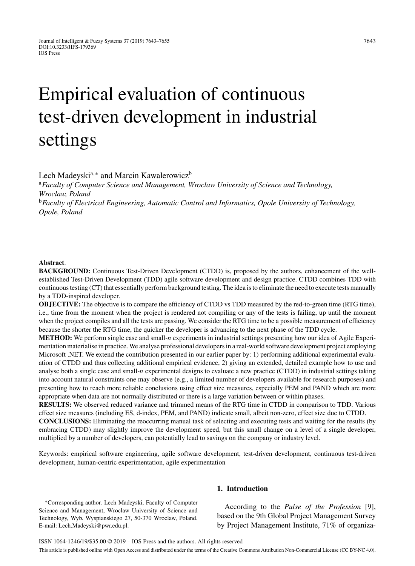# Empirical evaluation of continuous test-driven development in industrial settings

Lech Madeyski<sup>a,∗</sup> and Marcin Kawalerowicz<sup>b</sup>

<sup>a</sup>*Faculty of Computer Science and Management, Wroclaw University of Science and Technology, Wroclaw, Poland* <sup>b</sup>*Faculty of Electrical Engineering, Automatic Control and Informatics, Opole University of Technology,*

*Opole, Poland*

# **Abstract**.

**BACKGROUND:** Continuous Test-Driven Development (CTDD) is, proposed by the authors, enhancement of the wellestablished Test-Driven Development (TDD) agile software development and design practice. CTDD combines TDD with continuous testing (CT) that essentially perform background testing. The idea is to eliminate the need to execute tests manually by a TDD-inspired developer.

**OBJECTIVE:** The objective is to compare the efficiency of CTDD vs TDD measured by the red-to-green time (RTG time), i.e., time from the moment when the project is rendered not compiling or any of the tests is failing, up until the moment when the project compiles and all the tests are passing. We consider the RTG time to be a possible measurement of efficiency because the shorter the RTG time, the quicker the developer is advancing to the next phase of the TDD cycle.

**METHOD:** We perform single case and small-*n* experiments in industrial settings presenting how our idea of Agile Experimentation materialise in practice. We analyse professional developers in a real-world software development project employing Microsoft .NET. We extend the contribution presented in our earlier paper by: 1) performing additional experimental evaluation of CTDD and thus collecting additional empirical evidence, 2) giving an extended, detailed example how to use and analyse both a single case and small-*n* experimental designs to evaluate a new practice (CTDD) in industrial settings taking into account natural constraints one may observe (e.g., a limited number of developers available for research purposes) and presenting how to reach more reliable conclusions using effect size measures, especially PEM and PAND which are more appropriate when data are not normally distributed or there is a large variation between or within phases.

**RESULTS:** We observed reduced variance and trimmed means of the RTG time in CTDD in comparison to TDD. Various effect size measures (including ES, d-index, PEM, and PAND) indicate small, albeit non-zero, effect size due to CTDD.

**CONCLUSIONS:** Eliminating the reoccurring manual task of selecting and executing tests and waiting for the results (by embracing CTDD) may slightly improve the development speed, but this small change on a level of a single developer, multiplied by a number of developers, can potentially lead to savings on the company or industry level.

Keywords: empirical software engineering, agile software development, test-driven development, continuous test-driven development, human-centric experimentation, agile experimentation

∗Corresponding author. Lech Madeyski, Faculty of Computer Science and Management, Wroclaw University of Science and Technology, Wyb. Wyspianskiego 27, 50-370 Wroclaw, Poland. E-mail: [Lech.Madeyski@pwr.edu.pl](mailto:Lech.Madeyski@pwr.edu.pl).

# **1. Introduction**

According to the *Pulse of the Profession* [9], based on the 9th Global Project Management Survey by Project Management Institute, 71% of organiza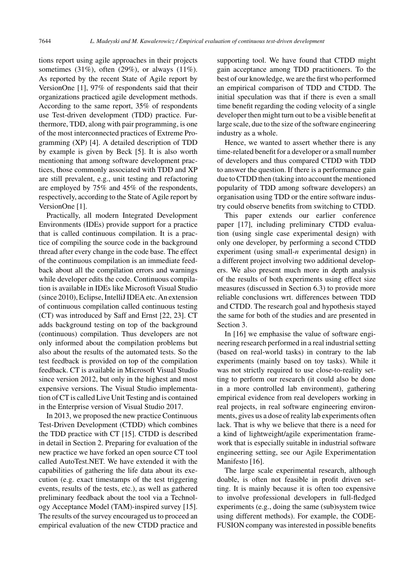tions report using agile approaches in their projects sometimes  $(31\%)$ , often  $(29\%)$ , or always  $(11\%)$ . As reported by the recent State of Agile report by VersionOne [1], 97% of respondents said that their organizations practiced agile development methods. According to the same report, 35% of respondents use Test-driven development (TDD) practice. Furthermore, TDD, along with pair programming, is one of the most interconnected practices of Extreme Programming (XP) [4]. A detailed description of TDD by example is given by Beck [5]. It is also worth mentioning that among software development practices, those commonly associated with TDD and XP are still prevalent, e.g., unit testing and refactoring are employed by 75% and 45% of the respondents, respectively, according to the State of Agile report by VersionOne [1].

Practically, all modern Integrated Development Environments (IDEs) provide support for a practice that is called continuous compilation. It is a practice of compiling the source code in the background thread after every change in the code base. The effect of the continuous compilation is an immediate feedback about all the compilation errors and warnings while developer edits the code. Continuous compilation is available in IDEs like Microsoft Visual Studio (since 2010), Eclipse, IntelliJ IDEA etc. An extension of continuous compilation called continuous testing (CT) was introduced by Saff and Ernst [22, 23]. CT adds background testing on top of the background (continuous) compilation. Thus developers are not only informed about the compilation problems but also about the results of the automated tests. So the test feedback is provided on top of the compilation feedback. CT is available in Microsoft Visual Studio since version 2012, but only in the highest and most expensive versions. The Visual Studio implementation of CT is called Live Unit Testing and is contained in the Enterprise version of Visual Studio 2017.

In 2013, we proposed the new practice Continuous Test-Driven Development (CTDD) which combines the TDD practice with CT [15]. CTDD is described in detail in Section 2. Preparing for evaluation of the new practice we have forked an open source CT tool called AutoTest.NET. We have extended it with the capabilities of gathering the life data about its execution (e.g. exact timestamps of the test triggering events, results of the tests, etc.), as well as gathered preliminary feedback about the tool via a Technology Acceptance Model (TAM)-inspired survey [15]. The results of the survey encouraged us to proceed an empirical evaluation of the new CTDD practice and

supporting tool. We have found that CTDD might gain acceptance among TDD practitioners. To the best of our knowledge, we are the first who performed an empirical comparison of TDD and CTDD. The initial speculation was that if there is even a small time benefit regarding the coding velocity of a single developer then might turn out to be a visible benefit at large scale, due to the size of the software engineering industry as a whole.

Hence, we wanted to assert whether there is any time-related benefit for a developer or a small number of developers and thus compared CTDD with TDD to answer the question. If there is a performance gain due to CTDD then (taking into account the mentioned popularity of TDD among software developers) an organisation using TDD or the entire software industry could observe benefits from switching to CTDD.

This paper extends our earlier conference paper [17], including preliminary CTDD evaluation (using single case experimental design) with only one developer, by performing a second CTDD experiment (using small-*n* experimental design) in a different project involving two additional developers. We also present much more in depth analysis of the results of both experiments using effect size measures (discussed in Section 6.3) to provide more reliable conclusions wrt. differences between TDD and CTDD. The research goal and hypothesis stayed the same for both of the studies and are presented in Section 3.

In [16] we emphasise the value of software engineering research performed in a real industrial setting (based on real-world tasks) in contrary to the lab experiments (mainly based on toy tasks). While it was not strictly required to use close-to-reality setting to perform our research (it could also be done in a more controlled lab environment), gathering empirical evidence from real developers working in real projects, in real software engineering environments, gives us a dose of reality lab experiments often lack. That is why we believe that there is a need for a kind of lightweight/agile experimentation framework that is especially suitable in industrial software engineering setting, see our Agile Experimentation Manifesto [16].

The large scale experimental research, although doable, is often not feasible in profit driven setting. It is mainly because it is often too expensive to involve professional developers in full-fledged experiments (e.g., doing the same (sub)system twice using different methods). For example, the CODE-FUSION company was interested in possible benefits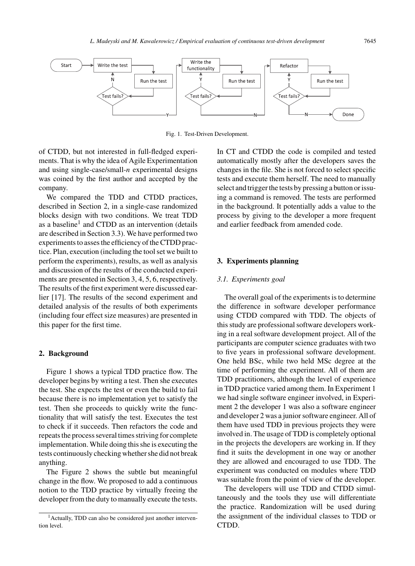

Fig. 1. Test-Driven Development.

of CTDD, but not interested in full-fledged experiments. That is why the idea of Agile Experimentation and using single-case/small-*n* experimental designs was coined by the first author and accepted by the company.

We compared the TDD and CTDD practices, described in Section 2, in a single-case randomized blocks design with two conditions. We treat TDD as a baseline<sup>1</sup> and CTDD as an intervention (details are described in Section 3.3). We have performed two experiments to asses the efficiency of the CTDD practice. Plan, execution (including the tool set we built to perform the experiments), results, as well as analysis and discussion of the results of the conducted experiments are presented in Section 3, 4, 5, 6, respectively. The results of the first experiment were discussed earlier [17]. The results of the second experiment and detailed analysis of the results of both experiments (including four effect size measures) are presented in this paper for the first time.

# **2. Background**

Figure 1 shows a typical TDD practice flow. The developer begins by writing a test. Then she executes the test. She expects the test or even the build to fail because there is no implementation yet to satisfy the test. Then she proceeds to quickly write the functionality that will satisfy the test. Executes the test to check if it succeeds. Then refactors the code and repeats the process several times striving for complete implementation. While doing this she is executing the tests continuously checking whether she did not break anything.

The Figure 2 shows the subtle but meaningful change in the flow. We proposed to add a continuous notion to the TDD practice by virtually freeing the developer from the duty to manually execute the tests.

In CT and CTDD the code is compiled and tested automatically mostly after the developers saves the changes in the file. She is not forced to select specific tests and execute them herself. The need to manually select and trigger the tests by pressing a button or issuing a command is removed. The tests are performed in the background. It potentially adds a value to the process by giving to the developer a more frequent and earlier feedback from amended code.

# **3. Experiments planning**

# *3.1. Experiments goal*

The overall goal of the experiments is to determine the difference in software developer performance using CTDD compared with TDD. The objects of this study are professional software developers working in a real software development project. All of the participants are computer science graduates with two to five years in professional software development. One held BSc, while two held MSc degree at the time of performing the experiment. All of them are TDD practitioners, although the level of experience in TDD practice varied among them. In Experiment 1 we had single software engineer involved, in Experiment 2 the developer 1 was also a software engineer and developer 2 was a junior software engineer. All of them have used TDD in previous projects they were involved in. The usage of TDD is completely optional in the projects the developers are working in. If they find it suits the development in one way or another they are allowed and encouraged to use TDD. The experiment was conducted on modules where TDD was suitable from the point of view of the developer.

The developers will use TDD and CTDD simultaneously and the tools they use will differentiate the practice. Randomization will be used during the assignment of the individual classes to TDD or CTDD.

<sup>&</sup>lt;sup>1</sup> Actually, TDD can also be considered just another intervention level.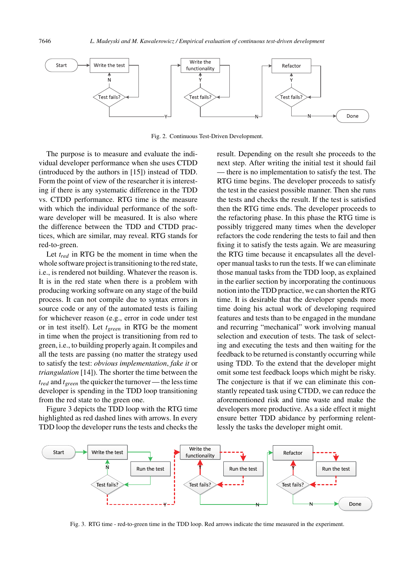

Fig. 2. Continuous Test-Driven Development.

The purpose is to measure and evaluate the individual developer performance when she uses CTDD (introduced by the authors in [15]) instead of TDD. Form the point of view of the researcher it is interesting if there is any systematic difference in the TDD vs. CTDD performance. RTG time is the measure with which the individual performance of the software developer will be measured. It is also where the difference between the TDD and CTDD practices, which are similar, may reveal. RTG stands for red-to-green.

Let *tred* in RTG be the moment in time when the whole software project is transitioning to the red state, i.e., is rendered not building. Whatever the reason is. It is in the red state when there is a problem with producing working software on any stage of the build process. It can not compile due to syntax errors in source code or any of the automated tests is failing for whichever reason (e.g., error in code under test or in test itself). Let *tgreen* in RTG be the moment in time when the project is transitioning from red to green, i.e., to building properly again. It compiles and all the tests are passing (no matter the strategy used to satisfy the test: *obvious implementation*, *fake it* or *triangulation* [14]). The shorter the time between the  $t_{red}$  and  $t_{green}$  the quicker the turnover — the less time developer is spending in the TDD loop transitioning from the red state to the green one.

Figure 3 depicts the TDD loop with the RTG time highlighted as red dashed lines with arrows. In every TDD loop the developer runs the tests and checks the result. Depending on the result she proceeds to the next step. After writing the initial test it should fail — there is no implementation to satisfy the test. The RTG time begins. The developer proceeds to satisfy the test in the easiest possible manner. Then she runs the tests and checks the result. If the test is satisfied then the RTG time ends. The developer proceeds to the refactoring phase. In this phase the RTG time is possibly triggered many times when the developer refactors the code rendering the tests to fail and then fixing it to satisfy the tests again. We are measuring the RTG time because it encapsulates all the developer manual tasks to run the tests. If we can eliminate those manual tasks from the TDD loop, as explained in the earlier section by incorporating the continuous notion into the TDD practice, we can shorten the RTG time. It is desirable that the developer spends more time doing his actual work of developing required features and tests than to be engaged in the mundane and recurring "mechanical" work involving manual selection and execution of tests. The task of selecting and executing the tests and then waiting for the feedback to be returned is constantly occurring while using TDD. To the extend that the developer might omit some test feedback loops which might be risky. The conjecture is that if we can eliminate this constantly repeated task using CTDD, we can reduce the aforementioned risk and time waste and make the developers more productive. As a side effect it might ensure better TDD abidance by performing relentlessly the tasks the developer might omit.



Fig. 3. RTG time - red-to-green time in the TDD loop. Red arrows indicate the time measured in the experiment.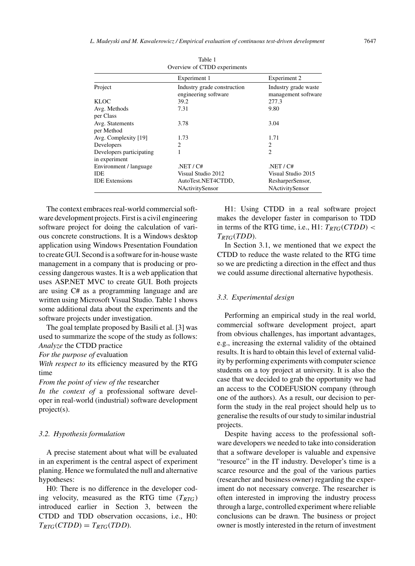|                          | Overview of CTDD experiments                        |                                             |
|--------------------------|-----------------------------------------------------|---------------------------------------------|
|                          | Experiment 1                                        | Experiment 2                                |
| Project                  | Industry grade construction<br>engineering software | Industry grade waste<br>management software |
| <b>KLOC</b>              | 39.2                                                | 277.3                                       |
| Avg. Methods             | 7.31                                                | 9.80                                        |
| per Class                |                                                     |                                             |
| Avg. Statements          | 3.78                                                | 3.04                                        |
| per Method               |                                                     |                                             |
| Avg. Complexity [19]     | 1.73                                                | 1.71                                        |
| Developers               | 2                                                   | 2                                           |
| Developers participating |                                                     | $\mathfrak{D}$                              |
| in experiment            |                                                     |                                             |
| Environment / language   | NET / C#                                            | NET / C#                                    |
| IDE                      | Visual Studio 2012                                  | Visual Studio 2015                          |
| <b>IDE</b> Extensions    | AutoTest.NET4CTDD,                                  | ResharperSensor,                            |
|                          | NActivitySensor                                     | NActivitySensor                             |

Table 1

The context embraces real-world commercial software development projects. First is a civil engineering software project for doing the calculation of various concrete constructions. It is a Windows desktop application using Windows Presentation Foundation to create GUI. Second is a software for in-house waste management in a company that is producing or processing dangerous wastes. It is a web application that uses ASP.NET MVC to create GUI. Both projects are using C# as a programming language and are written using Microsoft Visual Studio. Table 1 shows some additional data about the experiments and the software projects under investigation.

The goal template proposed by Basili et al. [3] was used to summarize the scope of the study as follows: *Analyze* the CTDD practice

*For the purpose of* evaluation

*With respect to* its efficiency measured by the RTG time

*From the point of view of the* researcher

*In the context of* a professional software developer in real-world (industrial) software development project(s).

# *3.2. Hypothesis formulation*

A precise statement about what will be evaluated in an experiment is the central aspect of experiment planing. Hence we formulated the null and alternative hypotheses:

H0: There is no difference in the developer coding velocity, measured as the RTG time  $(T_{RTG})$ introduced earlier in Section 3, between the CTDD and TDD observation occasions, i.e., H0:  $T_{RTG}(CTDD) = T_{RTG}(TDD).$ 

H1: Using CTDD in a real software project makes the developer faster in comparison to TDD in terms of the RTG time, i.e., H1:  $T_{RTG}(CTDD)$  < *TRTG*(*TDD*).

In Section 3.1, we mentioned that we expect the CTDD to reduce the waste related to the RTG time so we are predicting a direction in the effect and thus we could assume directional alternative hypothesis.

## *3.3. Experimental design*

Performing an empirical study in the real world, commercial software development project, apart from obvious challenges, has important advantages, e.g., increasing the external validity of the obtained results. It is hard to obtain this level of external validity by performing experiments with computer science students on a toy project at university. It is also the case that we decided to grab the opportunity we had an access to the CODEFUSION company (through one of the authors). As a result, our decision to perform the study in the real project should help us to generalise the results of our study to similar industrial projects.

Despite having access to the professional software developers we needed to take into consideration that a software developer is valuable and expensive "resource" in the IT industry. Developer's time is a scarce resource and the goal of the various parties (researcher and business owner) regarding the experiment do not necessary converge. The researcher is often interested in improving the industry process through a large, controlled experiment where reliable conclusions can be drawn. The business or project owner is mostly interested in the return of investment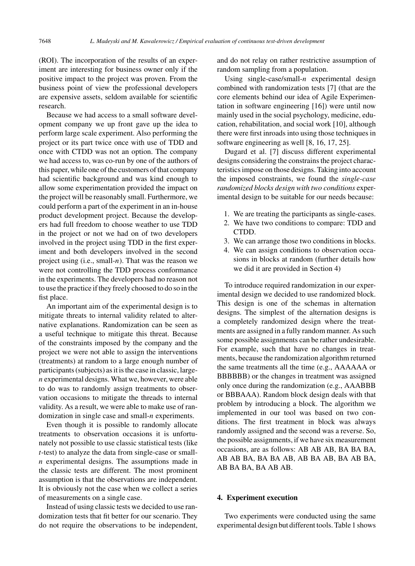(ROI). The incorporation of the results of an experiment are interesting for business owner only if the positive impact to the project was proven. From the business point of view the professional developers are expensive assets, seldom available for scientific research.

Because we had access to a small software development company we up front gave up the idea to perform large scale experiment. Also performing the project or its part twice once with use of TDD and once with CTDD was not an option. The company we had access to, was co-run by one of the authors of this paper, while one of the customers of that company had scientific background and was kind enough to allow some experimentation provided the impact on the project will be reasonably small. Furthermore, we could perform a part of the experiment in an in-house product development project. Because the developers had full freedom to choose weather to use TDD in the project or not we had on of two developers involved in the project using TDD in the first experiment and both developers involved in the second project using (i.e., small-*n*). That was the reason we were not controlling the TDD process conformance in the experiments. The developers had no reason not to use the practice if they freely choosed to do so in the fist place.

An important aim of the experimental design is to mitigate threats to internal validity related to alternative explanations. Randomization can be seen as a useful technique to mitigate this threat. Because of the constraints imposed by the company and the project we were not able to assign the interventions (treatments) at random to a large enough number of participants (subjects) as it is the case in classic, large*n* experimental designs. What we, however, were able to do was to randomly assign treatments to observation occasions to mitigate the threads to internal validity. As a result, we were able to make use of randomization in single case and small-*n* experiments.

Even though it is possible to randomly allocate treatments to observation occasions it is unfortunately not possible to use classic statistical tests (like *t*-test) to analyze the data from single-case or small*n* experimental designs. The assumptions made in the classic tests are different. The most prominent assumption is that the observations are independent. It is obviously not the case when we collect a series of measurements on a single case.

Instead of using classic tests we decided to use randomization tests that fit better for our scenario. They do not require the observations to be independent, and do not relay on rather restrictive assumption of random sampling from a population.

Using single-case/small-*n* experimental design combined with randomization tests [7] (that are the core elements behind our idea of Agile Experimentation in software engineering [16]) were until now mainly used in the social psychology, medicine, education, rehabilitation, and social work [10], although there were first inroads into using those techniques in software engineering as well [8, 16, 17, 25].

Dugard et al. [7] discuss different experimental designs considering the constrains the project characteristics impose on those designs. Taking into account the imposed constraints, we found the *single-case randomized blocks design with two conditions* experimental design to be suitable for our needs because:

- 1. We are treating the participants as single-cases.
- 2. We have two conditions to compare: TDD and CTDD.
- 3. We can arrange those two conditions in blocks.
- 4. We can assign conditions to observation occasions in blocks at random (further details how we did it are provided in Section 4)

To introduce required randomization in our experimental design we decided to use randomized block. This design is one of the schemas in alternation designs. The simplest of the alternation designs is a completely randomized design where the treatments are assigned in a fully random manner. As such some possible assignments can be rather undesirable. For example, such that have no changes in treatments, because the randomization algorithm returned the same treatments all the time (e.g., AAAAAA or BBBBBB) or the changes in treatment was assigned only once during the randomization (e.g., AAABBB or BBBAAA). Random block design deals with that problem by introducing a block. The algorithm we implemented in our tool was based on two conditions. The first treatment in block was always randomly assigned and the second was a reverse. So, the possible assignments, if we have six measurement occasions, are as follows: AB AB AB, BA BA BA, AB AB BA, BA BA AB, AB BA AB, BA AB BA, AB BA BA, BA AB AB.

## **4. Experiment execution**

Two experiments were conducted using the same experimental design but different tools. Table 1 shows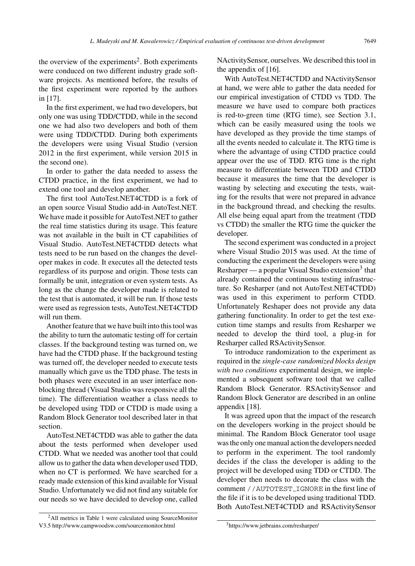the overview of the experiments<sup>2</sup>. Both experiments were conduced on two different industry grade software projects. As mentioned before, the results of the first experiment were reported by the authors in [17].

In the first experiment, we had two developers, but only one was using TDD/CTDD, while in the second one we had also two developers and both of them were using TDD/CTDD. During both experiments the developers were using Visual Studio (version 2012 in the first experiment, while version 2015 in the second one).

In order to gather the data needed to assess the CTDD practice, in the first experiment, we had to extend one tool and develop another.

The first tool AutoTest NET4CTDD is a fork of an open source Visual Studio add-in AutoTest.NET. We have made it possible for AutoTest.NET to gather the real time statistics during its usage. This feature was not available in the built in CT capabilities of Visual Studio. AutoTest.NET4CTDD detects what tests need to be run based on the changes the developer makes in code. It executes all the detected tests regardless of its purpose and origin. Those tests can formally be unit, integration or even system tests. As long as the change the developer made is related to the test that is automated, it will be run. If those tests were used as regression tests, AutoTest.NET4CTDD will run them.

Another feature that we have built into this tool was the ability to turn the automatic testing off for certain classes. If the background testing was turned on, we have had the CTDD phase. If the background testing was turned off, the developer needed to execute tests manually which gave us the TDD phase. The tests in both phases were executed in an user interface nonblocking thread (Visual Studio was responsive all the time). The differentiation weather a class needs to be developed using TDD or CTDD is made using a Random Block Generator tool described later in that section.

AutoTest.NET4CTDD was able to gather the data about the tests performed when developer used CTDD. What we needed was another tool that could allow us to gather the data when developer used TDD, when no CT is performed. We have searched for a ready made extension of this kind available for Visual Studio. Unfortunately we did not find any suitable for our needs so we have decided to develop one, called

NActivitySensor, ourselves. We described this tool in the appendix of [16].

With AutoTest.NET4CTDD and NActivitySensor at hand, we were able to gather the data needed for our empirical investigation of CTDD vs TDD. The measure we have used to compare both practices is red-to-green time (RTG time), see Section 3.1, which can be easily measured using the tools we have developed as they provide the time stamps of all the events needed to calculate it. The RTG time is where the advantage of using CTDD practice could appear over the use of TDD. RTG time is the right measure to differentiate between TDD and CTDD because it measures the time that the developer is wasting by selecting and executing the tests, waiting for the results that were not prepared in advance in the background thread, and checking the results. All else being equal apart from the treatment (TDD vs CTDD) the smaller the RTG time the quicker the developer.

The second experiment was conducted in a project where Visual Studio 2015 was used. At the time of conducting the experiment the developers were using Resharper — a popular Visual Studio extension $3$  that already contained the continuous testing infrastructure. So Resharper (and not AutoTest.NET4CTDD) was used in this experiment to perform CTDD. Unfortunately Reshaper does not provide any data gathering functionality. In order to get the test execution time stamps and results from Resharper we needed to develop the third tool, a plug-in for Resharper called RSActivitySensor.

To introduce randomization to the experiment as required in the *single-case randomized blocks design with two conditions* experimental design, we implemented a subsequent software tool that we called Random Block Generator. RSActivitySensor and Random Block Generator are described in an online appendix [18].

It was agreed upon that the impact of the research on the developers working in the project should be minimal. The Random Block Generator tool usage was the only one manual action the developers needed to perform in the experiment. The tool randomly decides if the class the developer is adding to the project will be developed using TDD or CTDD. The developer then needs to decorate the class with the comment //AUTOTEST\_IGNORE in the first line of the file if it is to be developed using traditional TDD. Both AutoTest.NET4CTDD and RSActivitySensor

<sup>2</sup>All metrics in Table 1 were calculated using SourceMonitor V3.5<http://www.campwoodsw.com/sourcemonitor.html>

<sup>3</sup><https://www.jetbrains.com/resharper/>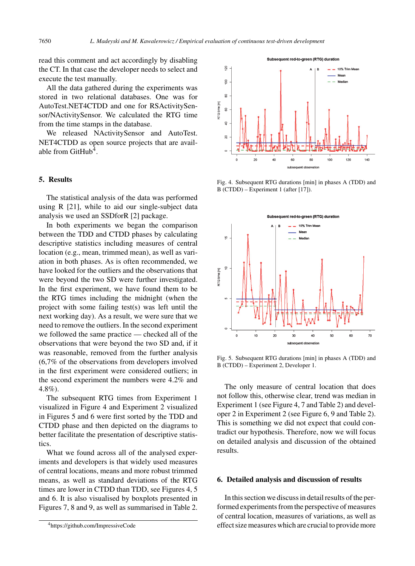read this comment and act accordingly by disabling the CT. In that case the developer needs to select and execute the test manually.

All the data gathered during the experiments was stored in two relational databases. One was for AutoTest.NET4CTDD and one for RSActivitySensor/NActivitySensor. We calculated the RTG time from the time stamps in the database.

We released NActivitySensor and AutoTest. NET4CTDD as open source projects that are available from  $G$ itHub<sup>4</sup>.

# **5. Results**

The statistical analysis of the data was performed using  $R$  [21], while to aid our single-subject data analysis we used an SSDforR [2] package.

In both experiments we began the comparison between the TDD and CTDD phases by calculating descriptive statistics including measures of central location (e.g., mean, trimmed mean), as well as variation in both phases. As is often recommended, we have looked for the outliers and the observations that were beyond the two SD were further investigated. In the first experiment, we have found them to be the RTG times including the midnight (when the project with some failing test(s) was left until the next working day). As a result, we were sure that we need to remove the outliers. In the second experiment we followed the same practice — checked all of the observations that were beyond the two SD and, if it was reasonable, removed from the further analysis (6,7% of the observations from developers involved in the first experiment were considered outliers; in the second experiment the numbers were 4.2% and 4.8%).

The subsequent RTG times from Experiment 1 visualized in Figure 4 and Experiment 2 visualized in Figures 5 and 6 were first sorted by the TDD and CTDD phase and then depicted on the diagrams to better facilitate the presentation of descriptive statistics.

What we found across all of the analysed experiments and developers is that widely used measures of central locations, means and more robust trimmed means, as well as standard deviations of the RTG times are lower in CTDD than TDD, see Figures 4, 5 and 6. It is also visualised by boxplots presented in Figures 7, 8 and 9, as well as summarised in Table 2.

20  $-10\%$  Trim Mean  $\mathbf{A}$  $\blacksquare$ Mos  $\overline{8}$ Median g **RTG**time [m] e<br>60  $\epsilon$ g  $\circ$  $\overline{20}$  $\overline{40}$  $60$ 80  $100$  $120$  $140$ a diagon iont obconvation

Fig. 4. Subsequent RTG durations [min] in phases A (TDD) and B (CTDD) – Experiment 1 (after [17]).



Fig. 5. Subsequent RTG durations [min] in phases A (TDD) and B (CTDD) – Experiment 2, Developer 1.

The only measure of central location that does not follow this, otherwise clear, trend was median in Experiment 1 (see Figure 4, 7 and Table 2) and developer 2 in Experiment 2 (see Figure 6, 9 and Table 2). This is something we did not expect that could contradict our hypothesis. Therefore, now we will focus on detailed analysis and discussion of the obtained results.

# **6. Detailed analysis and discussion of results**

In this section we discuss in detail results of the performed experiments from the perspective of measures of central location, measures of variations, as well as effect size measures which are crucial to provide more

Subsequent red-to-green (RTG) duration

<sup>4</sup><https://github.com/ImpressiveCode>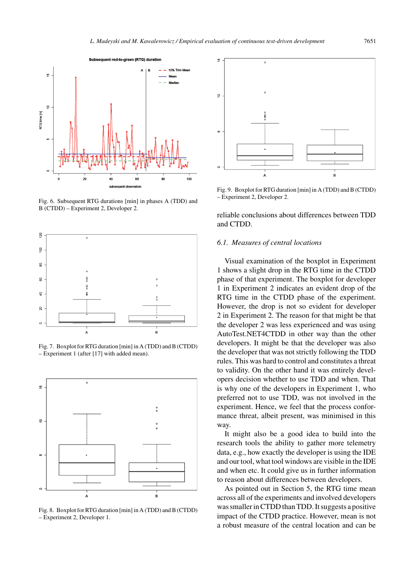

Fig. 6. Subsequent RTG durations [min] in phases A (TDD) and B (CTDD) – Experiment 2, Developer 2.



Fig. 7. Boxplot for RTG duration [min] in A (TDD) and B (CTDD) – Experiment 1 (after [17] with added mean).



Fig. 8. Boxplot for RTG duration [min] in A (TDD) and B (CTDD) – Experiment 2, Developer 1.



Fig. 9. Boxplot for RTG duration [min] in A (TDD) and B (CTDD) – Experiment 2, Developer 2.

reliable conclusions about differences between TDD and CTDD.

#### *6.1. Measures of central locations*

Visual examination of the boxplot in Experiment 1 shows a slight drop in the RTG time in the CTDD phase of that experiment. The boxplot for developer 1 in Experiment 2 indicates an evident drop of the RTG time in the CTDD phase of the experiment. However, the drop is not so evident for developer 2 in Experiment 2. The reason for that might be that the developer 2 was less experienced and was using AutoTest.NET4CTDD in other way than the other developers. It might be that the developer was also the developer that was not strictly following the TDD rules. This was hard to control and constitutes a threat to validity. On the other hand it was entirely developers decision whether to use TDD and when. That is why one of the developers in Experiment 1, who preferred not to use TDD, was not involved in the experiment. Hence, we feel that the process conformance threat, albeit present, was minimised in this way.

It might also be a good idea to build into the research tools the ability to gather more telemetry data, e.g., how exactly the developer is using the IDE and our tool, what tool windows are visible in the IDE and when etc. It could give us in further information to reason about differences between developers.

As pointed out in Section 5, the RTG time mean across all of the experiments and involved developers was smaller in CTDD than TDD. It suggests a positive impact of the CTDD practice. However, mean is not a robust measure of the central location and can be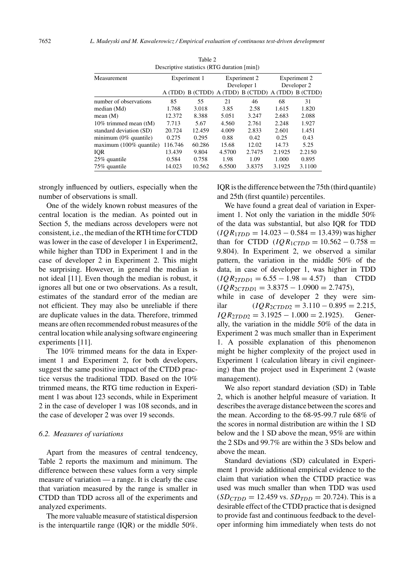| Descriptive statistics (RTG duration [min]) |              |                  |              |                                 |              |        |  |  |
|---------------------------------------------|--------------|------------------|--------------|---------------------------------|--------------|--------|--|--|
| Measurement                                 | Experiment 1 |                  | Experiment 2 |                                 | Experiment 2 |        |  |  |
|                                             | Developer 1  |                  |              | Developer 2                     |              |        |  |  |
|                                             |              | A (TDD) B (CTDD) | A            | (TDD) B (CTDD) A (TDD) B (CTDD) |              |        |  |  |
| number of observations                      | 85           | 55               | 21           | 46                              | 68           | 31     |  |  |
| median (Md)                                 | 1.768        | 3.018            | 3.85         | 2.58                            | 1.615        | 1.820  |  |  |
| mean $(M)$                                  | 12.372       | 8.388            | 5.051        | 3.247                           | 2.683        | 2.088  |  |  |
| 10% trimmed mean (tM)                       | 7.713        | 5.67             | 4.560        | 2.761                           | 2.248        | 1.927  |  |  |
| standard deviation (SD)                     | 20.724       | 12.459           | 4.009        | 2.833                           | 2.601        | 1.451  |  |  |
| minimum $(0\%$ quantile)                    | 0.275        | 0.295            | 0.88         | 0.42                            | 0.25         | 0.43   |  |  |
| maximum (100% quantile)                     | 116.746      | 60.286           | 15.68        | 12.02                           | 14.73        | 5.25   |  |  |
| <b>IOR</b>                                  | 13.439       | 9.804            | 4.5700       | 2.7475                          | 2.1925       | 2.2150 |  |  |
| 25% quantile                                | 0.584        | 0.758            | 1.98         | 1.09                            | 1.000        | 0.895  |  |  |
| 75% quantile                                | 14.023       | 10.562           | 6.5500       | 3.8375                          | 3.1925       | 3.1100 |  |  |

Table 2 Descriptive statistics (RTG duration [min])

strongly influenced by outliers, especially when the number of observations is small.

One of the widely known robust measures of the central location is the median. As pointed out in Section 5, the medians across developers were not consistent, i.e., the median of the RTH time for CTDD was lower in the case of developer 1 in Experiment2, while higher than TDD in Experiment 1 and in the case of developer 2 in Experiment 2. This might be surprising. However, in general the median is not ideal [11]. Even though the median is robust, it ignores all but one or two observations. As a result, estimates of the standard error of the median are not efficient. They may also be unreliable if there are duplicate values in the data. Therefore, trimmed means are often recommended robust measures of the central location while analysing software engineering experiments [11].

The 10% trimmed means for the data in Experiment 1 and Experiment 2, for both developers, suggest the same positive impact of the CTDD practice versus the traditional TDD. Based on the 10% trimmed means, the RTG time reduction in Experiment 1 was about 123 seconds, while in Experiment 2 in the case of developer 1 was 108 seconds, and in the case of developer 2 was over 19 seconds.

# *6.2. Measures of variations*

Apart from the measures of central tendcency, Table 2 reports the maximum and minimum. The difference between these values form a very simple measure of variation — a range. It is clearly the case that variation measured by the range is smaller in CTDD than TDD across all of the experiments and analyzed experiments.

The more valuable measure of statistical dispersion is the interquartile range (IQR) or the middle 50%. IQR is the difference between the 75th (third quantile) and 25th (first quantile) percentiles.

We have found a great deal of variation in Experiment 1. Not only the variation in the middle 50% of the data was substantial, but also IQR for TDD  $(IQR_{1TDD} = 14.023 - 0.584 = 13.439)$  was higher than for CTDD  $(IQR_{1CTDD} = 10.562 - 0.758 =$ 9*.*804). In Experiment 2, we observed a similar pattern, the variation in the middle 50% of the data, in case of developer 1, was higher in TDD  $(IQR_{2TDD1} = 6.55 - 1.98 = 4.57)$  than CTDD  $(IQR_{2CTDD1} = 3.8375 - 1.0900 = 2.7475),$ while in case of developer 2 they were similar  $(IQR_{2CTDD2} = 3.110 - 0.895 = 2.215$ ,<br> $IQR_{2TDD2} = 3.1925 - 1.000 = 2.1925$ . Gener- $IQR_{2TDD2} = 3.1925 - 1.000 = 2.1925$ . ally, the variation in the middle 50% of the data in Experiment 2 was much smaller than in Experiment 1. A possible explanation of this phenomenon might be higher complexity of the project used in Experiment 1 (calculation library in civil engineering) than the project used in Experiment 2 (waste

We also report standard deviation (SD) in Table 2, which is another helpful measure of variation. It describes the average distance between the scores and the mean. According to the 68-95-99.7 rule 68% of the scores in normal distribution are within the 1 SD below and the 1 SD above the mean, 95% are within the 2 SDs and 99.7% are within the 3 SDs below and above the mean.

management).

Standard deviations (SD) calculated in Experiment 1 provide additional empirical evidence to the claim that variation when the CTDD practice was used was much smaller than when TDD was used  $(SD_{CTDD} = 12.459 \text{ vs. } SD_{TDD} = 20.724)$ . This is a desirable effect of the CTDD practice that is designed to provide fast and continuous feedback to the developer informing him immediately when tests do not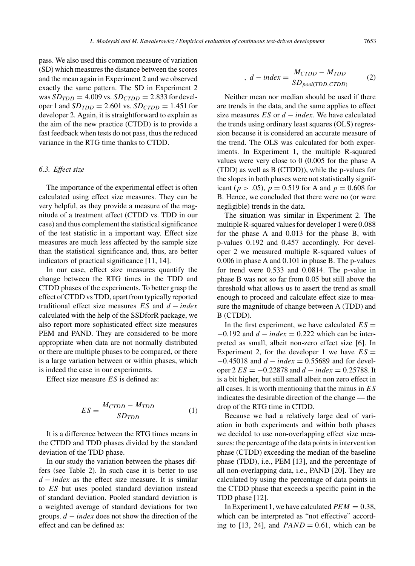pass. We also used this common measure of variation (SD) which measures the distance between the scores and the mean again in Experiment 2 and we observed exactly the same pattern. The SD in Experiment 2 was  $SD_{TDD} = 4.009$  vs.  $SD_{CTDD} = 2.833$  for developer 1 and  $SD_{TDD} = 2.601$  vs.  $SD_{CTDD} = 1.451$  for developer 2. Again, it is straightforward to explain as the aim of the new practice (CTDD) is to provide a fast feedback when tests do not pass, thus the reduced variance in the RTG time thanks to CTDD.

## *6.3. Effect size*

The importance of the experimental effect is often calculated using effect size measures. They can be very helpful, as they provide a measure of the magnitude of a treatment effect (CTDD vs. TDD in our case) and thus complement the statistical significance of the test statistic in a important way. Effect size measures are much less affected by the sample size than the statistical significance and, thus, are better indicators of practical significance [11, 14].

In our case, effect size measures quantify the change between the RTG times in the TDD and CTDD phases of the experiments. To better grasp the effect of CTDD vs TDD, apart from typically reported traditional effect size measures *ES* and *d* − *index* calculated with the help of the SSDforR package, we also report more sophisticated effect size measures PEM and PAND. They are considered to be more appropriate when data are not normally distributed or there are multiple phases to be compared, or there is a large variation between or within phases, which is indeed the case in our experiments.

Effect size measure *ES* is defined as:

$$
ES = \frac{M_{CTDD} - M_{TDD}}{SD_{TDD}}\tag{1}
$$

It is a difference between the RTG times means in the CTDD and TDD phases divided by the standard deviation of the TDD phase.

In our study the variation between the phases differs (see Table 2). In such case it is better to use *d* − *index* as the effect size measure. It is similar to *ES* but uses pooled standard deviation instead of standard deviation. Pooled standard deviation is a weighted average of standard deviations for two groups. *d* − *index* does not show the direction of the effect and can be defined as:

$$
, d-index = \frac{M_{CTDD} - M_{TDD}}{SD_{pool(TDD,CTDD)}} \tag{2}
$$

Neither mean nor median should be used if there are trends in the data, and the same applies to effect size measures *ES* or *d* − *index*. We have calculated the trends using ordinary least squares (OLS) regression because it is considered an accurate measure of the trend. The OLS was calculated for both experiments. In Experiment 1, the multiple R-squared values were very close to 0 (0*.*005 for the phase A (TDD) as well as B (CTDD)), while the p-values for the slopes in both phases were not statistically significant ( $p > .05$ ),  $p = 0.519$  for A and  $p = 0.608$  for B. Hence, we concluded that there were no (or were negligible) trends in the data.

The situation was similar in Experiment 2. The multiple R-squared values for developer 1 were 0*.*088 for the phase A and 0*.*013 for the phase B, with p-values 0*.*192 and 0*.*457 accordingly. For developer 2 we measured multiple R-squared values of 0*.*006 in phase A and 0*.*101 in phase B. The p-values for trend were 0*.*533 and 0*.*0814. The p-value in phase B was not so far from 0*.*05 but still above the threshold what allows us to assert the trend as small enough to proceed and calculate effect size to measure the magnitude of change between A (TDD) and B (CTDD).

In the first experiment, we have calculated  $ES =$ −0*.*192 and *d* − *index* = 0*.*222 which can be interpreted as small, albeit non-zero effect size [6]. In Experiment 2, for the developer 1 we have  $ES =$ −0*.*45018 and *d* − *index* = 0*.*55689 and for developer 2 *ES* = −0*.*22878 and *d* − *index* = 0*.*25788. It is a bit higher, but still small albeit non zero effect in all cases. It is worth mentioning that the minus in *ES* indicates the desirable direction of the change — the drop of the RTG time in CTDD.

Because we had a relatively large deal of variation in both experiments and within both phases we decided to use non-overlapping effect size measures: the percentage of the data points in intervention phase (CTDD) exceeding the median of the baseline phase (TDD), i.e., PEM [13], and the percentage of all non-overlapping data, i.e., PAND [20]. They are calculated by using the percentage of data points in the CTDD phase that exceeds a specific point in the TDD phase [12].

In Experiment 1, we have calculated  $PEM = 0.38$ , which can be interpreted as "not effective" according to [13, 24], and  $PAND = 0.61$ , which can be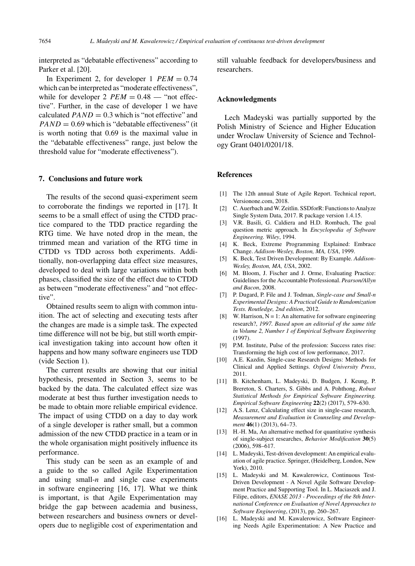interpreted as "debatable effectiveness" according to Parker et al. [20].

In Experiment 2, for developer 1  $PEM = 0.74$ which can be interpreted as "moderate effectiveness", while for developer 2  $PEM = 0.48$  — "not effective". Further, in the case of developer 1 we have calculated  $PAND = 0.3$  which is "not effective" and  $PAND = 0.69$  which is "debatable effectiveness" (it is worth noting that 0.69 is the maximal value in the "debatable effectiveness" range, just below the threshold value for "moderate effectiveness").

## **7. Conclusions and future work**

The results of the second quasi-experiment seem to corroborate the findings we reported in [17]. It seems to be a small effect of using the CTDD practice compared to the TDD practice regarding the RTG time. We have noted drop in the mean, the trimmed mean and variation of the RTG time in CTDD vs TDD across both experiments. Additionally, non-overlapping data effect size measures, developed to deal with large variations within both phases, classified the size of the effect due to CTDD as between "moderate effectiveness" and "not effective".

Obtained results seem to align with common intuition. The act of selecting and executing tests after the changes are made is a simple task. The expected time difference will not be big, but still worth empirical investigation taking into account how often it happens and how many software engineers use TDD (vide Section 1).

The current results are showing that our initial hypothesis, presented in Section 3, seems to be backed by the data. The calculated effect size was moderate at best thus further investigation needs to be made to obtain more reliable empirical evidence. The impact of using CTDD on a day to day work of a single developer is rather small, but a common admission of the new CTDD practice in a team or in the whole organisation might positively influence its performance.

This study can be seen as an example of and a guide to the so called Agile Experimentation and using small-*n* and single case experiments in software engineering [16, 17]. What we think is important, is that Agile Experimentation may bridge the gap between academia and business, between researchers and business owners or developers due to negligible cost of experimentation and

still valuable feedback for developers/business and researchers.

# **Acknowledgments**

Lech Madeyski was partially supported by the Polish Ministry of Science and Higher Education under Wroclaw University of Science and Technology Grant 0401/0201/18.

#### **References**

- [1] The 12th annual State of Agile Report. Technical report, Versionone.com, 2018.
- [2] C. Auerbach and W. Zeitlin. SSDforR: Functions to Analyze Single System Data, 2017. R package version 1.4.15.
- [3] V.R. Basili, G. Caldiera and H.D. Rombach, The goal question metric approach. In *Encyclopedia of Software Engineering. Wiley*, 1994.
- [4] K. Beck, Extreme Programming Explained: Embrace Change. *Addison-Wesley, Boston, MA, USA*, 1999.
- [5] K. Beck, Test Driven Development: By Example. *Addison-Wesley, Boston, MA, USA*, 2002.
- [6] M. Bloom, J. Fischer and J. Orme, Evaluating Practice: Guidelines for the Accountable Professional. *Pearson/Allyn and Bacon*, 2008.
- [7] P. Dugard, P. File and J. Todman, *Single-case and Small-n Experimental Designs: A Practical Guide to Randomization Tests. Routledge, 2nd edition*, 2012.
- [8] W. Harrison,  $N = 1$ : An alternative for software engineering research?, *1997. Based upon an editorial of the same title in Volume 2, Number 1 of Empirical Software Engineering* (1997).
- [9] P.M. Institute, Pulse of the profession: Success rates rise: Transforming the high cost of low performance, 2017.
- [10] A.E. Kazdin, Single-case Research Designs: Methods for Clinical and Applied Settings. *Oxford University Press*, 2011.
- [11] B. Kitchenham, L. Madeyski, D. Budgen, J. Keung, P. Brereton, S. Charters, S. Gibbs and A. Pohthong, *Robust Statistical Methods for Empirical Software Engineering. Empirical Software Engineering* **22**(2) (2017), 579–630.
- [12] A.S. Lenz, Calculating effect size in single-case research, *Measurement and Evaluation in Counseling and Development* **46**(1) (2013), 64–73.
- [13] H.-H. Ma, An alternative method for quantitative synthesis of single-subject researches, *Behavior Modification* **30**(5) (2006), 598–617.
- [14] L. Madeyski, Test-driven development: An empirical evaluation of agile practice. Springer, (Heidelberg, London, New York), 2010.
- [15] L. Madeyski and M. Kawalerowicz, Continuous Test-Driven Development - A Novel Agile Software Development Practice and Supporting Tool. In L. Maciaszek and J. Filipe, editors, *ENASE 2013 - Proceedings of the 8th International Conference on Evaluation of Novel Approaches to Software Engineering*, (2013), pp. 260–267.
- [16] L. Madeyski and M. Kawalerowicz, Software Engineering Needs Agile Experimentation: A New Practice and